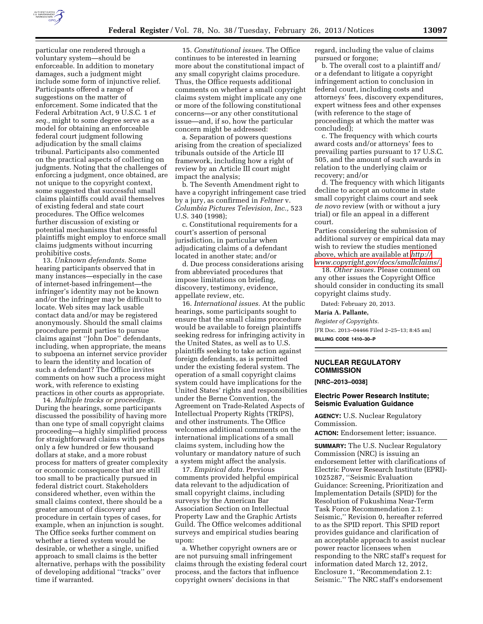

particular one rendered through a voluntary system—should be enforceable. In addition to monetary damages, such a judgment might include some form of injunctive relief. Participants offered a range of suggestions on the matter of enforcement. Some indicated that the Federal Arbitration Act, 9 U.S.C. 1 *et seq.,* might to some degree serve as a model for obtaining an enforceable federal court judgment following adjudication by the small claims tribunal. Participants also commented on the practical aspects of collecting on judgments. Noting that the challenges of enforcing a judgment, once obtained, are not unique to the copyright context, some suggested that successful small claims plaintiffs could avail themselves of existing federal and state court procedures. The Office welcomes further discussion of existing or potential mechanisms that successful plaintiffs might employ to enforce small claims judgments without incurring prohibitive costs.

13. *Unknown defendants.* Some hearing participants observed that in many instances—especially in the case of internet-based infringement—the infringer's identity may not be known and/or the infringer may be difficult to locate. Web sites may lack usable contact data and/or may be registered anonymously. Should the small claims procedure permit parties to pursue claims against ''John Doe'' defendants, including, when appropriate, the means to subpoena an internet service provider to learn the identity and location of such a defendant? The Office invites comments on how such a process might work, with reference to existing practices in other courts as appropriate.

14. *Multiple tracks or proceedings.*  During the hearings, some participants discussed the possibility of having more than one type of small copyright claims proceeding—a highly simplified process for straightforward claims with perhaps only a few hundred or few thousand dollars at stake, and a more robust process for matters of greater complexity or economic consequence that are still too small to be practically pursued in federal district court. Stakeholders considered whether, even within the small claims context, there should be a greater amount of discovery and procedure in certain types of cases, for example, when an injunction is sought. The Office seeks further comment on whether a tiered system would be desirable, or whether a single, unified approach to small claims is the better alternative, perhaps with the possibility of developing additional ''tracks'' over time if warranted.

15. *Constitutional issues.* The Office continues to be interested in learning more about the constitutional impact of any small copyright claims procedure. Thus, the Office requests additional comments on whether a small copyright claims system might implicate any one or more of the following constitutional concerns—or any other constitutional issue—and, if so, how the particular concern might be addressed:

a. Separation of powers questions arising from the creation of specialized tribunals outside of the Article III framework, including how a right of review by an Article III court might impact the analysis;

b. The Seventh Amendment right to have a copyright infringement case tried by a jury, as confirmed in *Feltner* v. *Columbia Pictures Television, Inc.,* 523 U.S. 340 (1998);

c. Constitutional requirements for a court's assertion of personal jurisdiction, in particular when adjudicating claims of a defendant located in another state; and/or

d. Due process considerations arising from abbreviated procedures that impose limitations on briefing, discovery, testimony, evidence, appellate review, etc.

16. *International issues.* At the public hearings, some participants sought to ensure that the small claims procedure would be available to foreign plaintiffs seeking redress for infringing activity in the United States, as well as to U.S. plaintiffs seeking to take action against foreign defendants, as is permitted under the existing federal system. The operation of a small copyright claims system could have implications for the United States' rights and responsibilities under the Berne Convention, the Agreement on Trade-Related Aspects of Intellectual Property Rights (TRIPS), and other instruments. The Office welcomes additional comments on the international implications of a small claims system, including how the voluntary or mandatory nature of such a system might affect the analysis.

17. *Empirical data.* Previous comments provided helpful empirical data relevant to the adjudication of small copyright claims, including surveys by the American Bar Association Section on Intellectual Property Law and the Graphic Artists Guild. The Office welcomes additional surveys and empirical studies bearing upon:

a. Whether copyright owners are or are not pursuing small infringement claims through the existing federal court process, and the factors that influence copyright owners' decisions in that

regard, including the value of claims pursued or forgone;

b. The overall cost to a plaintiff and/ or a defendant to litigate a copyright infringement action to conclusion in federal court, including costs and attorneys' fees, discovery expenditures, expert witness fees and other expenses (with reference to the stage of proceedings at which the matter was concluded);

c. The frequency with which courts award costs and/or attorneys' fees to prevailing parties pursuant to 17 U.S.C. 505, and the amount of such awards in relation to the underlying claim or recovery; and/or

d. The frequency with which litigants decline to accept an outcome in state small copyright claims court and seek *de novo* review (with or without a jury trial) or file an appeal in a different court.

Parties considering the submission of additional survey or empirical data may wish to review the studies mentioned above, which are available at *[http://](http://www.copyright.gov/docs/smallclaims/) [www.copyright.gov/docs/smallclaims/.](http://www.copyright.gov/docs/smallclaims/)* 

18. *Other issues.* Please comment on any other issues the Copyright Office should consider in conducting its small copyright claims study.

Dated: February 20, 2013.

# **Maria A. Pallante,**

*Register of Copyrights.*  [FR Doc. 2013–04466 Filed 2–25–13; 8:45 am] **BILLING CODE 1410–30–P** 

# **NUCLEAR REGULATORY COMMISSION**

**[NRC–2013–0038]** 

# **Electric Power Research Institute; Seismic Evaluation Guidance**

**AGENCY:** U.S. Nuclear Regulatory Commission.

**ACTION:** Endorsement letter; issuance.

**SUMMARY:** The U.S. Nuclear Regulatory Commission (NRC) is issuing an endorsement letter with clarifications of Electric Power Research Institute (EPRI)- 1025287, ''Seismic Evaluation Guidance: Screening, Prioritization and Implementation Details (SPID) for the Resolution of Fukushima Near-Term Task Force Recommendation 2.1: Seismic,'' Revision 0, hereafter referred to as the SPID report. This SPID report provides guidance and clarification of an acceptable approach to assist nuclear power reactor licensees when responding to the NRC staff's request for information dated March 12, 2012, Enclosure 1, ''Recommendation 2.1: Seismic.'' The NRC staff's endorsement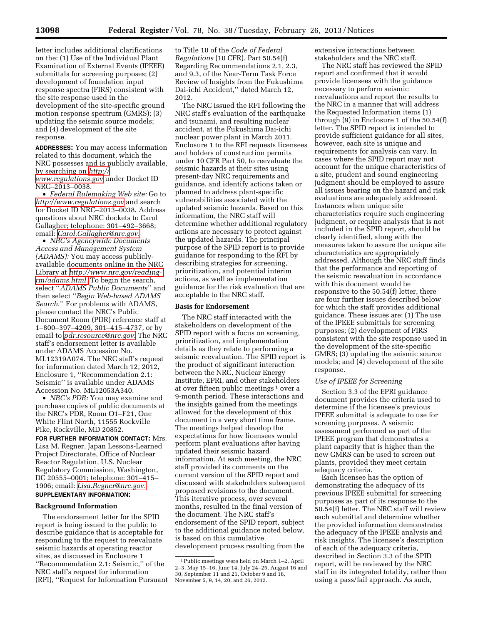letter includes additional clarifications on the: (1) Use of the Individual Plant Examination of External Events (IPEEE) submittals for screening purposes; (2) development of foundation input response spectra (FIRS) consistent with the site response used in the development of the site-specific ground motion response spectrum (GMRS); (3) updating the seismic source models; and (4) development of the site response.

**ADDRESSES:** You may access information related to this document, which the NRC possesses and is publicly available, by searching on *[http://](http://www.regulations.gov)  [www.regulations.gov](http://www.regulations.gov)* under Docket ID NRC–2013–0038.

• *Federal Rulemaking Web site:* Go to *<http://www.regulations.gov>* and search for Docket ID NRC–2013–0038. Address questions about NRC dockets to Carol Gallagher; telephone: 301–492–3668; email: *[Carol.Gallagher@nrc.gov](mailto:Carol.Gallagher@nrc.gov)*.

• *NRC's Agencywide Documents Access and Management System (ADAMS):* You may access publiclyavailable documents online in the NRC Library at *[http://www.nrc.gov/reading](http://www.nrc.gov/reading-rm/adams.html)[rm/adams.html](http://www.nrc.gov/reading-rm/adams.html)*. To begin the search, select ''*ADAMS Public Documents*'' and then select ''*Begin Web-based ADAMS Search*.'' For problems with ADAMS, please contact the NRC's Public Document Room (PDR) reference staff at 1–800–397–4209, 301–415–4737, or by email to *[pdr.resource@nrc.gov](mailto:pdr.resource@nrc.gov)*. The NRC staff's endorsement letter is available under ADAMS Accession No. ML12319A074. The NRC staff's request for information dated March 12, 2012, Enclosure 1, ''Recommendation 2.1: Seismic'' is available under ADAMS Accession No. ML12053A340.

• *NRC's PDR:* You may examine and purchase copies of public documents at the NRC's PDR, Room O1–F21, One White Flint North, 11555 Rockville Pike, Rockville, MD 20852.

**FOR FURTHER INFORMATION CONTACT:** Mrs. Lisa M. Regner, Japan Lessons-Learned Project Directorate, Office of Nuclear Reactor Regulation, U.S. Nuclear Regulatory Commission, Washington, DC 20555–0001; telephone: 301–415– 1906; email: *[Lisa.Regner@nrc.gov](mailto:Lisa.Regner@nrc.gov)*. **SUPPLEMENTARY INFORMATION:** 

## **Background Information**

The endorsement letter for the SPID report is being issued to the public to describe guidance that is acceptable for responding to the request to reevaluate seismic hazards at operating reactor sites, as discussed in Enclosure 1 ''Recommendation 2.1: Seismic,'' of the NRC staff's request for information (RFI), ''Request for Information Pursuant

to Title 10 of the *Code of Federal Regulations* (10 CFR), Part 50.54(f) Regarding Recommendations 2.1, 2.3, and 9.3, of the Near-Term Task Force Review of Insights from the Fukushima Dai-ichi Accident,'' dated March 12, 2012.

The NRC issued the RFI following the NRC staff's evaluation of the earthquake and tsunami, and resulting nuclear accident, at the Fukushima Dai-ichi nuclear power plant in March 2011. Enclosure 1 to the RFI requests licensees and holders of construction permits under 10 CFR Part 50, to reevaluate the seismic hazards at their sites using present-day NRC requirements and guidance, and identify actions taken or planned to address plant-specific vulnerabilities associated with the updated seismic hazards. Based on this information, the NRC staff will determine whether additional regulatory actions are necessary to protect against the updated hazards. The principal purpose of the SPID report is to provide guidance for responding to the RFI by describing strategies for screening, prioritization, and potential interim actions, as well as implementation guidance for the risk evaluation that are acceptable to the NRC staff.

## **Basis for Endorsement**

The NRC staff interacted with the stakeholders on development of the SPID report with a focus on screening, prioritization, and implementation details as they relate to performing a seismic reevaluation. The SPID report is the product of significant interaction between the NRC, Nuclear Energy Institute, EPRI, and other stakeholders at over fifteen public meetings 1 over a 9-month period. These interactions and the insights gained from the meetings allowed for the development of this document in a very short time frame. The meetings helped develop the expectations for how licensees would perform plant evaluations after having updated their seismic hazard information. At each meeting, the NRC staff provided its comments on the current version of the SPID report and discussed with stakeholders subsequent proposed revisions to the document. This iterative process, over several months, resulted in the final version of the document. The NRC staff's endorsement of the SPID report, subject to the additional guidance noted below, is based on this cumulative

development process resulting from the

extensive interactions between stakeholders and the NRC staff.

The NRC staff has reviewed the SPID report and confirmed that it would provide licensees with the guidance necessary to perform seismic reevaluations and report the results to the NRC in a manner that will address the Requested Information items (1) through (9) in Enclosure 1 of the 50.54(f) letter. The SPID report is intended to provide sufficient guidance for all sites, however, each site is unique and requirements for analysis can vary. In cases where the SPID report may not account for the unique characteristics of a site, prudent and sound engineering judgment should be employed to assure all issues bearing on the hazard and risk evaluations are adequately addressed. Instances when unique site characteristics require such engineering judgment, or require analysis that is not included in the SPID report, should be clearly identified, along with the measures taken to assure the unique site characteristics are appropriately addressed. Although the NRC staff finds that the performance and reporting of the seismic reevaluation in accordance with this document would be responsive to the 50.54(f) letter, there are four further issues described below for which the staff provides additional guidance. These issues are: (1) The use of the IPEEE submittals for screening purposes; (2) development of FIRS consistent with the site response used in the development of the site-specific GMRS; (3) updating the seismic source models; and (4) development of the site response.

# *Use of IPEEE for Screening*

Section 3.3 of the EPRI guidance document provides the criteria used to determine if the licensee's previous IPEEE submittal is adequate to use for screening purposes. A seismic assessment performed as part of the IPEEE program that demonstrates a plant capacity that is higher than the new GMRS can be used to screen out plants, provided they meet certain adequacy criteria.

Each licensee has the option of demonstrating the adequacy of its previous IPEEE submittal for screening purposes as part of its response to the 50.54(f) letter. The NRC staff will review each submittal and determine whether the provided information demonstrates the adequacy of the IPEEE analysis and risk insights. The licensee's description of each of the adequacy criteria, described in Section 3.3 of the SPID report, will be reviewed by the NRC staff in its integrated totality, rather than using a pass/fail approach. As such,

<sup>1</sup>Public meetings were held on March 1–2, April 2–3, May 15–16, June 14, July 24–25, August 16 and 30, September 11 and 21, October 9 and 18, November 5, 9, 14, 20, and 26, 2012.